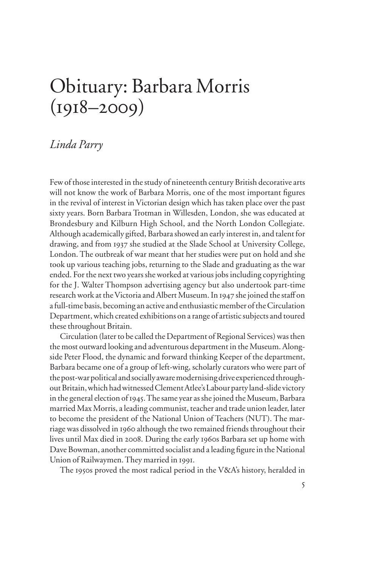## Obituary: Barbara Morris  $(1918 - 2009)$

## *Linda Parry*

Few of those interested in the study of nineteenth century British decorative arts will not know the work of Barbara Morris, one of the most important figures in the revival of interest in Victorian design which has taken place over the past sixty years. Born Barbara Trotman in Willesden, London, she was educated at Brondesbury and Kilburn High School, and the North London Collegiate. Although academically gifted, Barbara showed an early interest in, and talent for drawing, and from 1937 she studied at the Slade School at University College, London. The outbreak of war meant that her studies were put on hold and she took up various teaching jobs, returning to the Slade and graduating as the war ended. For the next two years she worked at various jobs including copyrighting for the J. Walter Thompson advertising agency but also undertook part-time research work at the Victoria and Albert Museum. In 1947 she joined the staff on a full-time basis, becoming an active and enthusiastic member of the Circulation Department, which created exhibitions on a range of artistic subjects and toured these throughout Britain.

Circulation (later to be called the Department of Regional Services) was then the most outward looking and adventurous department in the Museum. Alongside Peter Flood, the dynamic and forward thinking Keeper of the department, Barbara became one of a group of left-wing, scholarly curators who were part of the post-war political and socially aware modernising drive experienced throughout Britain, which had witnessed Clement Atlee's Labour party land-slide victory in the general election of 1945. The same year as she joined the Museum, Barbara married Max Morris, a leading communist, teacher and trade union leader, later to become the president of the National Union of Teachers (NUT). The marriage was dissolved in 1960 although the two remained friends throughout their lives until Max died in 2008. During the early 1960s Barbara set up home with Dave Bowman, another committed socialist and a leading figure in the National Union of Railwaymen. They married in 1991.

The 1950s proved the most radical period in the V&A's history, heralded in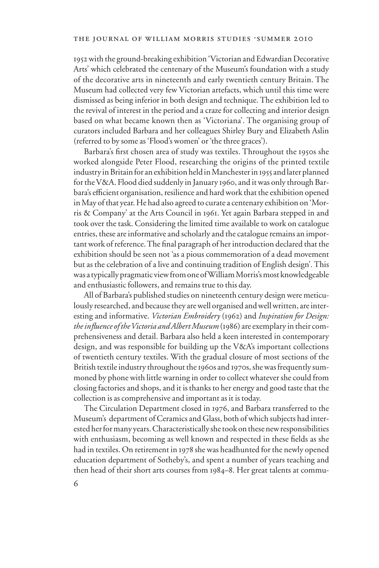1952 with the ground-breaking exhibition 'Victorian and Edwardian Decorative Arts' which celebrated the centenary of the Museum's foundation with a study of the decorative arts in nineteenth and early twentieth century Britain. The Museum had collected very few Victorian artefacts, which until this time were dismissed as being inferior in both design and technique. The exhibition led to the revival of interest in the period and a craze for collecting and interior design based on what became known then as 'Victoriana'. The organising group of curators included Barbara and her colleagues Shirley Bury and Elizabeth Aslin (referred to by some as 'Flood's women' or 'the three graces').

Barbara's first chosen area of study was textiles. Throughout the 1950s she worked alongside Peter Flood, researching the origins of the printed textile industry in Britain for an exhibition held in Manchester in 1955 and later planned for the V&A. Flood died suddenly in January 1960, and it was only through Barbara's efficient organisation, resilience and hard work that the exhibition opened in May of that year. He had also agreed to curate a centenary exhibition on 'Morris & Company' at the Arts Council in 1961. Yet again Barbara stepped in and took over the task. Considering the limited time available to work on catalogue entries, these are informative and scholarly and the catalogue remains an important work of reference. The final paragraph of her introduction declared that the exhibition should be seen not 'as a pious commemoration of a dead movement but as the celebration of a live and continuing tradition of English design'. This was a typically pragmatic view from one of William Morris's most knowledgeable and enthusiastic followers, and remains true to this day.

All of Barbara's published studies on nineteenth century design were meticulously researched, and because they are well organised and well written, are interesting and informative. *Victorian Embroidery* (1962) and *Inspiration for Design: the inXuence of the Victoria and Albert Museum* (1986) are exemplary in their comprehensiveness and detail. Barbara also held a keen interested in contemporary design, and was responsible for building up the V&A's important collections of twentieth century textiles. With the gradual closure of most sections of the British textile industry throughout the 1960s and 1970s, she was frequently summoned by phone with little warning in order to collect whatever she could from closing factories and shops, and it is thanks to her energy and good taste that the collection is as comprehensive and important as it is today.

The Circulation Department closed in 1976, and Barbara transferred to the Museum's department of Ceramics and Glass, both of which subjects had interested her for many years. Characteristically she took on these new responsibilities with enthusiasm, becoming as well known and respected in these fields as she had in textiles. On retirement in 1978 she was headhunted for the newly opened education department of Sotheby's, and spent a number of years teaching and then head of their short arts courses from 1984–8. Her great talents at commu